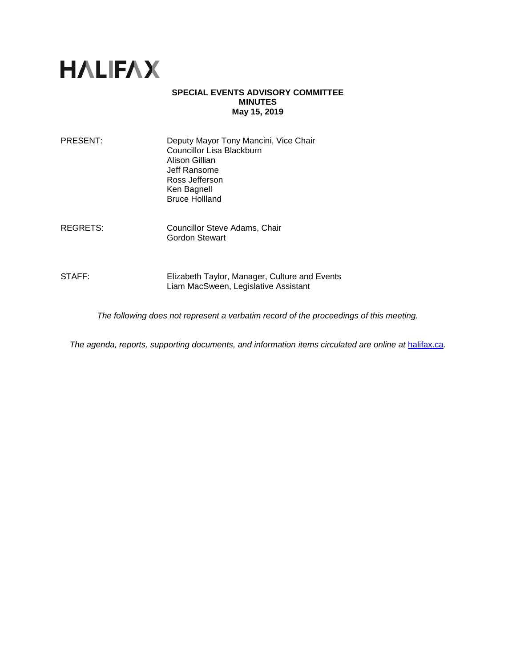

#### **SPECIAL EVENTS ADVISORY COMMITTEE MINUTES May 15, 2019**

| PRESENT: | Deputy Mayor Tony Mancini, Vice Chair<br>Councillor Lisa Blackburn<br>Alison Gillian<br>Jeff Ransome<br>Ross Jefferson<br>Ken Bagnell<br><b>Bruce Hollland</b> |
|----------|----------------------------------------------------------------------------------------------------------------------------------------------------------------|
|          |                                                                                                                                                                |

REGRETS: Councillor Steve Adams, Chair Gordon Stewart

STAFF: Elizabeth Taylor, Manager, Culture and Events Liam MacSween, Legislative Assistant

*The following does not represent a verbatim record of the proceedings of this meeting.*

*The agenda, reports, supporting documents, and information items circulated are online at [halifax.ca](http://www.halifax.ca/).*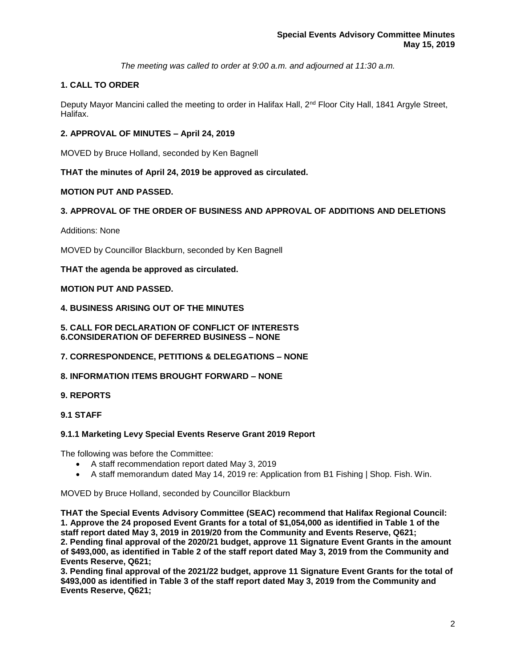*The meeting was called to order at 9:00 a.m. and adjourned at 11:30 a.m.*

# **1. CALL TO ORDER**

Deputy Mayor Mancini called the meeting to order in Halifax Hall, 2<sup>nd</sup> Floor City Hall, 1841 Argyle Street, Halifax.

### **2. APPROVAL OF MINUTES – April 24, 2019**

MOVED by Bruce Holland, seconded by Ken Bagnell

### **THAT the minutes of April 24, 2019 be approved as circulated.**

#### **MOTION PUT AND PASSED.**

### **3. APPROVAL OF THE ORDER OF BUSINESS AND APPROVAL OF ADDITIONS AND DELETIONS**

Additions: None

MOVED by Councillor Blackburn, seconded by Ken Bagnell

**THAT the agenda be approved as circulated.**

### **MOTION PUT AND PASSED.**

#### **4. BUSINESS ARISING OUT OF THE MINUTES**

**5. CALL FOR DECLARATION OF CONFLICT OF INTERESTS 6.CONSIDERATION OF DEFERRED BUSINESS – NONE**

### **7. CORRESPONDENCE, PETITIONS & DELEGATIONS – NONE**

### **8. INFORMATION ITEMS BROUGHT FORWARD – NONE**

### **9. REPORTS**

### **9.1 STAFF**

### **9.1.1 Marketing Levy Special Events Reserve Grant 2019 Report**

The following was before the Committee:

- A staff recommendation report dated May 3, 2019
- A staff memorandum dated May 14, 2019 re: Application from B1 Fishing | Shop. Fish. Win.

MOVED by Bruce Holland, seconded by Councillor Blackburn

**THAT the Special Events Advisory Committee (SEAC) recommend that Halifax Regional Council: 1. Approve the 24 proposed Event Grants for a total of \$1,054,000 as identified in Table 1 of the staff report dated May 3, 2019 in 2019/20 from the Community and Events Reserve, Q621; 2. Pending final approval of the 2020/21 budget, approve 11 Signature Event Grants in the amount of \$493,000, as identified in Table 2 of the staff report dated May 3, 2019 from the Community and Events Reserve, Q621;**

**3. Pending final approval of the 2021/22 budget, approve 11 Signature Event Grants for the total of \$493,000 as identified in Table 3 of the staff report dated May 3, 2019 from the Community and Events Reserve, Q621;**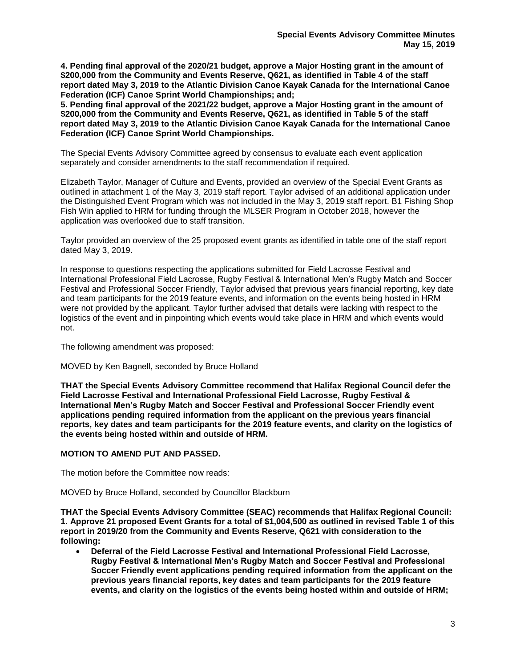**4. Pending final approval of the 2020/21 budget, approve a Major Hosting grant in the amount of \$200,000 from the Community and Events Reserve, Q621, as identified in Table 4 of the staff report dated May 3, 2019 to the Atlantic Division Canoe Kayak Canada for the International Canoe Federation (ICF) Canoe Sprint World Championships; and;**

**5. Pending final approval of the 2021/22 budget, approve a Major Hosting grant in the amount of \$200,000 from the Community and Events Reserve, Q621, as identified in Table 5 of the staff report dated May 3, 2019 to the Atlantic Division Canoe Kayak Canada for the International Canoe Federation (ICF) Canoe Sprint World Championships.**

The Special Events Advisory Committee agreed by consensus to evaluate each event application separately and consider amendments to the staff recommendation if required.

Elizabeth Taylor, Manager of Culture and Events, provided an overview of the Special Event Grants as outlined in attachment 1 of the May 3, 2019 staff report. Taylor advised of an additional application under the Distinguished Event Program which was not included in the May 3, 2019 staff report. B1 Fishing Shop Fish Win applied to HRM for funding through the MLSER Program in October 2018, however the application was overlooked due to staff transition.

Taylor provided an overview of the 25 proposed event grants as identified in table one of the staff report dated May 3, 2019.

In response to questions respecting the applications submitted for Field Lacrosse Festival and International Professional Field Lacrosse, Rugby Festival & International Men's Rugby Match and Soccer Festival and Professional Soccer Friendly, Taylor advised that previous years financial reporting, key date and team participants for the 2019 feature events, and information on the events being hosted in HRM were not provided by the applicant. Taylor further advised that details were lacking with respect to the logistics of the event and in pinpointing which events would take place in HRM and which events would not.

The following amendment was proposed:

MOVED by Ken Bagnell, seconded by Bruce Holland

**THAT the Special Events Advisory Committee recommend that Halifax Regional Council defer the Field Lacrosse Festival and International Professional Field Lacrosse, Rugby Festival & International Men's Rugby Match and Soccer Festival and Professional Soccer Friendly event applications pending required information from the applicant on the previous years financial reports, key dates and team participants for the 2019 feature events, and clarity on the logistics of the events being hosted within and outside of HRM.**

### **MOTION TO AMEND PUT AND PASSED.**

The motion before the Committee now reads:

MOVED by Bruce Holland, seconded by Councillor Blackburn

**THAT the Special Events Advisory Committee (SEAC) recommends that Halifax Regional Council: 1. Approve 21 proposed Event Grants for a total of \$1,004,500 as outlined in revised Table 1 of this report in 2019/20 from the Community and Events Reserve, Q621 with consideration to the following:**

• **Deferral of the Field Lacrosse Festival and International Professional Field Lacrosse, Rugby Festival & International Men's Rugby Match and Soccer Festival and Professional Soccer Friendly event applications pending required information from the applicant on the previous years financial reports, key dates and team participants for the 2019 feature events, and clarity on the logistics of the events being hosted within and outside of HRM;**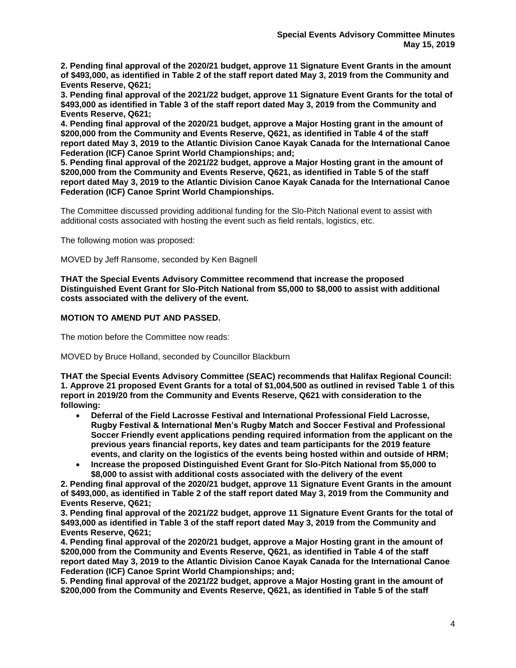**2. Pending final approval of the 2020/21 budget, approve 11 Signature Event Grants in the amount of \$493,000, as identified in Table 2 of the staff report dated May 3, 2019 from the Community and Events Reserve, Q621;**

**3. Pending final approval of the 2021/22 budget, approve 11 Signature Event Grants for the total of \$493,000 as identified in Table 3 of the staff report dated May 3, 2019 from the Community and Events Reserve, Q621;**

**4. Pending final approval of the 2020/21 budget, approve a Major Hosting grant in the amount of \$200,000 from the Community and Events Reserve, Q621, as identified in Table 4 of the staff report dated May 3, 2019 to the Atlantic Division Canoe Kayak Canada for the International Canoe Federation (ICF) Canoe Sprint World Championships; and;**

**5. Pending final approval of the 2021/22 budget, approve a Major Hosting grant in the amount of \$200,000 from the Community and Events Reserve, Q621, as identified in Table 5 of the staff report dated May 3, 2019 to the Atlantic Division Canoe Kayak Canada for the International Canoe Federation (ICF) Canoe Sprint World Championships.**

The Committee discussed providing additional funding for the Slo-Pitch National event to assist with additional costs associated with hosting the event such as field rentals, logistics, etc.

The following motion was proposed:

MOVED by Jeff Ransome, seconded by Ken Bagnell

**THAT the Special Events Advisory Committee recommend that increase the proposed Distinguished Event Grant for Slo-Pitch National from \$5,000 to \$8,000 to assist with additional costs associated with the delivery of the event.**

#### **MOTION TO AMEND PUT AND PASSED.**

The motion before the Committee now reads:

MOVED by Bruce Holland, seconded by Councillor Blackburn

**THAT the Special Events Advisory Committee (SEAC) recommends that Halifax Regional Council: 1. Approve 21 proposed Event Grants for a total of \$1,004,500 as outlined in revised Table 1 of this report in 2019/20 from the Community and Events Reserve, Q621 with consideration to the following:**

- **Deferral of the Field Lacrosse Festival and International Professional Field Lacrosse, Rugby Festival & International Men's Rugby Match and Soccer Festival and Professional Soccer Friendly event applications pending required information from the applicant on the previous years financial reports, key dates and team participants for the 2019 feature events, and clarity on the logistics of the events being hosted within and outside of HRM;**
- **Increase the proposed Distinguished Event Grant for Slo-Pitch National from \$5,000 to \$8,000 to assist with additional costs associated with the delivery of the event**

**2. Pending final approval of the 2020/21 budget, approve 11 Signature Event Grants in the amount of \$493,000, as identified in Table 2 of the staff report dated May 3, 2019 from the Community and Events Reserve, Q621;**

**3. Pending final approval of the 2021/22 budget, approve 11 Signature Event Grants for the total of \$493,000 as identified in Table 3 of the staff report dated May 3, 2019 from the Community and Events Reserve, Q621;**

**4. Pending final approval of the 2020/21 budget, approve a Major Hosting grant in the amount of \$200,000 from the Community and Events Reserve, Q621, as identified in Table 4 of the staff report dated May 3, 2019 to the Atlantic Division Canoe Kayak Canada for the International Canoe Federation (ICF) Canoe Sprint World Championships; and;**

**5. Pending final approval of the 2021/22 budget, approve a Major Hosting grant in the amount of \$200,000 from the Community and Events Reserve, Q621, as identified in Table 5 of the staff**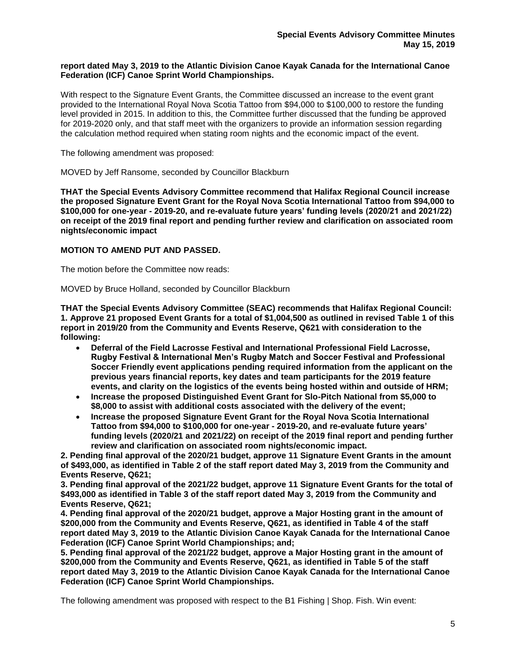#### **report dated May 3, 2019 to the Atlantic Division Canoe Kayak Canada for the International Canoe Federation (ICF) Canoe Sprint World Championships.**

With respect to the Signature Event Grants, the Committee discussed an increase to the event grant provided to the International Royal Nova Scotia Tattoo from \$94,000 to \$100,000 to restore the funding level provided in 2015. In addition to this, the Committee further discussed that the funding be approved for 2019-2020 only, and that staff meet with the organizers to provide an information session regarding the calculation method required when stating room nights and the economic impact of the event.

The following amendment was proposed:

MOVED by Jeff Ransome, seconded by Councillor Blackburn

**THAT the Special Events Advisory Committee recommend that Halifax Regional Council increase the proposed Signature Event Grant for the Royal Nova Scotia International Tattoo from \$94,000 to \$100,000 for one-year - 2019-20, and re-evaluate future years' funding levels (2020/21 and 2021/22) on receipt of the 2019 final report and pending further review and clarification on associated room nights/economic impact**

#### **MOTION TO AMEND PUT AND PASSED.**

The motion before the Committee now reads:

MOVED by Bruce Holland, seconded by Councillor Blackburn

**THAT the Special Events Advisory Committee (SEAC) recommends that Halifax Regional Council: 1. Approve 21 proposed Event Grants for a total of \$1,004,500 as outlined in revised Table 1 of this report in 2019/20 from the Community and Events Reserve, Q621 with consideration to the following:**

- **Deferral of the Field Lacrosse Festival and International Professional Field Lacrosse, Rugby Festival & International Men's Rugby Match and Soccer Festival and Professional Soccer Friendly event applications pending required information from the applicant on the previous years financial reports, key dates and team participants for the 2019 feature events, and clarity on the logistics of the events being hosted within and outside of HRM;**
- **Increase the proposed Distinguished Event Grant for Slo-Pitch National from \$5,000 to \$8,000 to assist with additional costs associated with the delivery of the event;**
- **Increase the proposed Signature Event Grant for the Royal Nova Scotia International Tattoo from \$94,000 to \$100,000 for one-year - 2019-20, and re-evaluate future years' funding levels (2020/21 and 2021/22) on receipt of the 2019 final report and pending further review and clarification on associated room nights/economic impact.**

**2. Pending final approval of the 2020/21 budget, approve 11 Signature Event Grants in the amount of \$493,000, as identified in Table 2 of the staff report dated May 3, 2019 from the Community and Events Reserve, Q621;**

**3. Pending final approval of the 2021/22 budget, approve 11 Signature Event Grants for the total of \$493,000 as identified in Table 3 of the staff report dated May 3, 2019 from the Community and Events Reserve, Q621;**

**4. Pending final approval of the 2020/21 budget, approve a Major Hosting grant in the amount of \$200,000 from the Community and Events Reserve, Q621, as identified in Table 4 of the staff report dated May 3, 2019 to the Atlantic Division Canoe Kayak Canada for the International Canoe Federation (ICF) Canoe Sprint World Championships; and;**

**5. Pending final approval of the 2021/22 budget, approve a Major Hosting grant in the amount of \$200,000 from the Community and Events Reserve, Q621, as identified in Table 5 of the staff report dated May 3, 2019 to the Atlantic Division Canoe Kayak Canada for the International Canoe Federation (ICF) Canoe Sprint World Championships.**

The following amendment was proposed with respect to the B1 Fishing | Shop. Fish. Win event: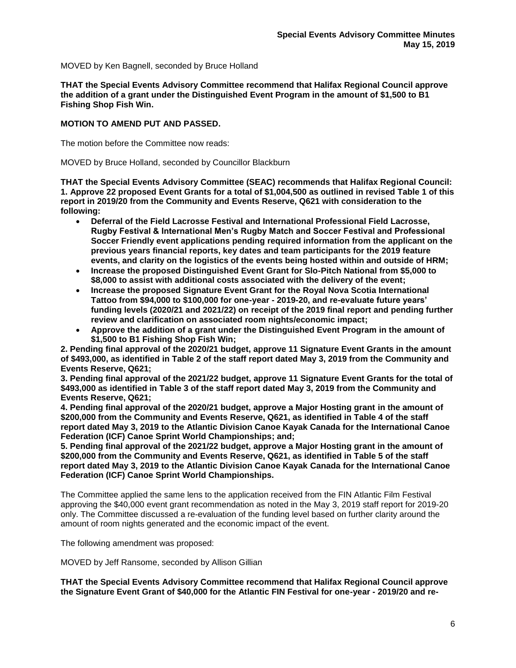MOVED by Ken Bagnell, seconded by Bruce Holland

**THAT the Special Events Advisory Committee recommend that Halifax Regional Council approve the addition of a grant under the Distinguished Event Program in the amount of \$1,500 to B1 Fishing Shop Fish Win.**

### **MOTION TO AMEND PUT AND PASSED.**

The motion before the Committee now reads:

MOVED by Bruce Holland, seconded by Councillor Blackburn

**THAT the Special Events Advisory Committee (SEAC) recommends that Halifax Regional Council: 1. Approve 22 proposed Event Grants for a total of \$1,004,500 as outlined in revised Table 1 of this report in 2019/20 from the Community and Events Reserve, Q621 with consideration to the following:**

- **Deferral of the Field Lacrosse Festival and International Professional Field Lacrosse, Rugby Festival & International Men's Rugby Match and Soccer Festival and Professional Soccer Friendly event applications pending required information from the applicant on the previous years financial reports, key dates and team participants for the 2019 feature events, and clarity on the logistics of the events being hosted within and outside of HRM;**
- **Increase the proposed Distinguished Event Grant for Slo-Pitch National from \$5,000 to \$8,000 to assist with additional costs associated with the delivery of the event;**
- **Increase the proposed Signature Event Grant for the Royal Nova Scotia International Tattoo from \$94,000 to \$100,000 for one-year - 2019-20, and re-evaluate future years' funding levels (2020/21 and 2021/22) on receipt of the 2019 final report and pending further review and clarification on associated room nights/economic impact;**
- **Approve the addition of a grant under the Distinguished Event Program in the amount of \$1,500 to B1 Fishing Shop Fish Win;**

**2. Pending final approval of the 2020/21 budget, approve 11 Signature Event Grants in the amount of \$493,000, as identified in Table 2 of the staff report dated May 3, 2019 from the Community and Events Reserve, Q621;**

**3. Pending final approval of the 2021/22 budget, approve 11 Signature Event Grants for the total of \$493,000 as identified in Table 3 of the staff report dated May 3, 2019 from the Community and Events Reserve, Q621;**

**4. Pending final approval of the 2020/21 budget, approve a Major Hosting grant in the amount of \$200,000 from the Community and Events Reserve, Q621, as identified in Table 4 of the staff report dated May 3, 2019 to the Atlantic Division Canoe Kayak Canada for the International Canoe Federation (ICF) Canoe Sprint World Championships; and;**

**5. Pending final approval of the 2021/22 budget, approve a Major Hosting grant in the amount of \$200,000 from the Community and Events Reserve, Q621, as identified in Table 5 of the staff report dated May 3, 2019 to the Atlantic Division Canoe Kayak Canada for the International Canoe Federation (ICF) Canoe Sprint World Championships.**

The Committee applied the same lens to the application received from the FIN Atlantic Film Festival approving the \$40,000 event grant recommendation as noted in the May 3, 2019 staff report for 2019-20 only. The Committee discussed a re-evaluation of the funding level based on further clarity around the amount of room nights generated and the economic impact of the event.

The following amendment was proposed:

MOVED by Jeff Ransome, seconded by Allison Gillian

**THAT the Special Events Advisory Committee recommend that Halifax Regional Council approve the Signature Event Grant of \$40,000 for the Atlantic FIN Festival for one-year - 2019/20 and re-**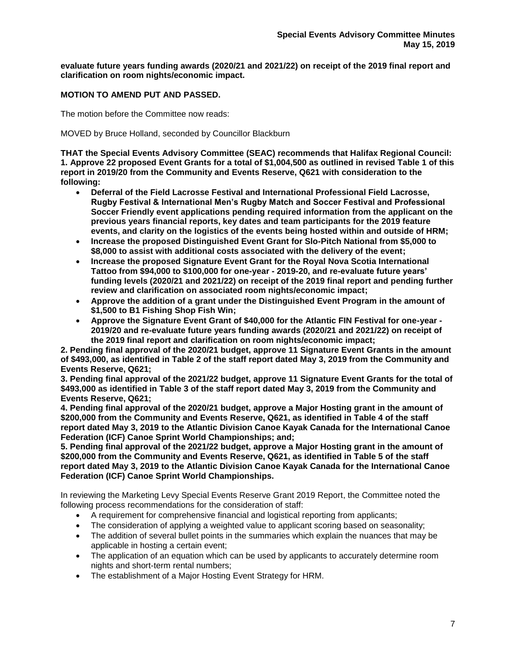**evaluate future years funding awards (2020/21 and 2021/22) on receipt of the 2019 final report and clarification on room nights/economic impact.**

# **MOTION TO AMEND PUT AND PASSED.**

The motion before the Committee now reads:

MOVED by Bruce Holland, seconded by Councillor Blackburn

**THAT the Special Events Advisory Committee (SEAC) recommends that Halifax Regional Council: 1. Approve 22 proposed Event Grants for a total of \$1,004,500 as outlined in revised Table 1 of this report in 2019/20 from the Community and Events Reserve, Q621 with consideration to the following:**

- **Deferral of the Field Lacrosse Festival and International Professional Field Lacrosse, Rugby Festival & International Men's Rugby Match and Soccer Festival and Professional Soccer Friendly event applications pending required information from the applicant on the previous years financial reports, key dates and team participants for the 2019 feature events, and clarity on the logistics of the events being hosted within and outside of HRM;**
- **Increase the proposed Distinguished Event Grant for Slo-Pitch National from \$5,000 to \$8,000 to assist with additional costs associated with the delivery of the event;**
- **Increase the proposed Signature Event Grant for the Royal Nova Scotia International Tattoo from \$94,000 to \$100,000 for one-year - 2019-20, and re-evaluate future years' funding levels (2020/21 and 2021/22) on receipt of the 2019 final report and pending further review and clarification on associated room nights/economic impact;**
- **Approve the addition of a grant under the Distinguished Event Program in the amount of \$1,500 to B1 Fishing Shop Fish Win;**
- **Approve the Signature Event Grant of \$40,000 for the Atlantic FIN Festival for one-year - 2019/20 and re-evaluate future years funding awards (2020/21 and 2021/22) on receipt of the 2019 final report and clarification on room nights/economic impact;**

**2. Pending final approval of the 2020/21 budget, approve 11 Signature Event Grants in the amount of \$493,000, as identified in Table 2 of the staff report dated May 3, 2019 from the Community and Events Reserve, Q621;**

**3. Pending final approval of the 2021/22 budget, approve 11 Signature Event Grants for the total of \$493,000 as identified in Table 3 of the staff report dated May 3, 2019 from the Community and Events Reserve, Q621;**

**4. Pending final approval of the 2020/21 budget, approve a Major Hosting grant in the amount of \$200,000 from the Community and Events Reserve, Q621, as identified in Table 4 of the staff report dated May 3, 2019 to the Atlantic Division Canoe Kayak Canada for the International Canoe Federation (ICF) Canoe Sprint World Championships; and;**

**5. Pending final approval of the 2021/22 budget, approve a Major Hosting grant in the amount of \$200,000 from the Community and Events Reserve, Q621, as identified in Table 5 of the staff report dated May 3, 2019 to the Atlantic Division Canoe Kayak Canada for the International Canoe Federation (ICF) Canoe Sprint World Championships.**

In reviewing the Marketing Levy Special Events Reserve Grant 2019 Report, the Committee noted the following process recommendations for the consideration of staff:

- A requirement for comprehensive financial and logistical reporting from applicants;
- The consideration of applying a weighted value to applicant scoring based on seasonality;
- The addition of several bullet points in the summaries which explain the nuances that may be applicable in hosting a certain event;
- The application of an equation which can be used by applicants to accurately determine room nights and short-term rental numbers;
- The establishment of a Major Hosting Event Strategy for HRM.